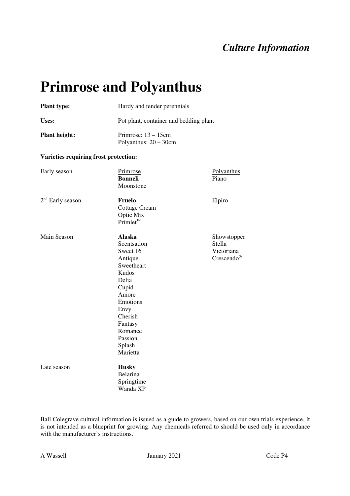# **Primrose and Polyanthus**

| <b>Plant type:</b>                    |                                                                                                                                                                                             | Hardy and tender perennials<br>Pot plant, container and bedding plant<br>Primrose: $13 - 15$ cm<br>Polyanthus: $20 - 30$ cm |  |  |
|---------------------------------------|---------------------------------------------------------------------------------------------------------------------------------------------------------------------------------------------|-----------------------------------------------------------------------------------------------------------------------------|--|--|
| Uses:                                 |                                                                                                                                                                                             |                                                                                                                             |  |  |
| <b>Plant height:</b>                  |                                                                                                                                                                                             |                                                                                                                             |  |  |
| Varieties requiring frost protection: |                                                                                                                                                                                             |                                                                                                                             |  |  |
| Early season                          | Primrose<br><b>Bonneli</b><br>Moonstone                                                                                                                                                     | Polyanthus<br>Piano                                                                                                         |  |  |
| 2 <sup>nd</sup> Early season          | <b>Fruelo</b><br><b>Cottage Cream</b><br>Optic Mix<br>$Printlet^m$                                                                                                                          | Elpiro                                                                                                                      |  |  |
| Main Season                           | <b>Alaska</b><br>Scentsation<br>Sweet 16<br>Antique<br>Sweetheart<br>Kudos<br>Delia<br>Cupid<br>Amore<br>Emotions<br>Envy<br>Cherish<br>Fantasy<br>Romance<br>Passion<br>Splash<br>Marietta | Showstopper<br>Stella<br>Victoriana<br>$C$ rescendo®                                                                        |  |  |
| Late season                           | <b>Husky</b><br>Belarina<br>Springtime<br>Wanda XP                                                                                                                                          |                                                                                                                             |  |  |

Ball Colegrave cultural information is issued as a guide to growers, based on our own trials experience. It is not intended as a blueprint for growing. Any chemicals referred to should be used only in accordance with the manufacturer's instructions.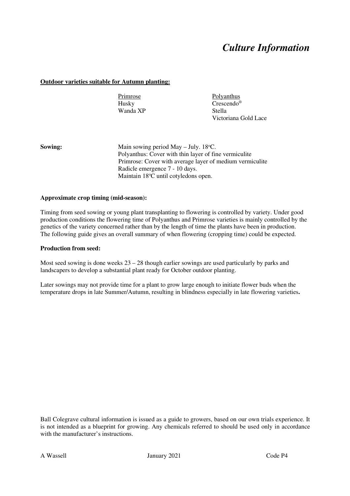### **Outdoor varieties suitable for Autumn planting:**

Wanda XP

Primrose Polyanthus Husky<br>
Wanda XP<br>
Stella Victoriana Gold Lace

**Sowing:** Main sowing period May – July. 18<sup>o</sup>C. Polyanthus: Cover with thin layer of fine vermiculite Primrose: Cover with average layer of medium vermiculite Radicle emergence 7 - 10 days. Maintain 18°C until cotyledons open.

### **Approximate crop timing (mid-season):**

Timing from seed sowing or young plant transplanting to flowering is controlled by variety. Under good production conditions the flowering time of Polyanthus and Primrose varieties is mainly controlled by the genetics of the variety concerned rather than by the length of time the plants have been in production. The following guide gives an overall summary of when flowering (cropping time) could be expected.

### **Production from seed:**

Most seed sowing is done weeks  $23 - 28$  though earlier sowings are used particularly by parks and landscapers to develop a substantial plant ready for October outdoor planting.

Later sowings may not provide time for a plant to grow large enough to initiate flower buds when the temperature drops in late Summer/Autumn, resulting in blindness especially in late flowering varieties**.**

Ball Colegrave cultural information is issued as a guide to growers, based on our own trials experience. It is not intended as a blueprint for growing. Any chemicals referred to should be used only in accordance with the manufacturer's instructions.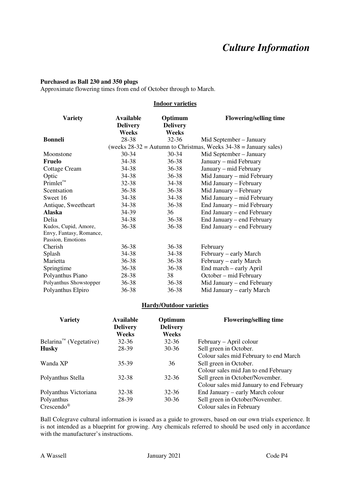### **Purchased as Ball 230 and 350 plugs**

Approximate flowering times from end of October through to March.

#### **Indoor varieties**

| <b>Variety</b>          | <b>Available</b><br><b>Delivery</b><br><b>Weeks</b> | Optimum<br><b>Delivery</b><br><b>Weeks</b> | <b>Flowering/selling time</b>                                        |
|-------------------------|-----------------------------------------------------|--------------------------------------------|----------------------------------------------------------------------|
| <b>Bonneli</b>          | 28-38                                               | $32 - 36$                                  | Mid September – January                                              |
|                         |                                                     |                                            | (weeks $28-32$ = Autumn to Christmas, Weeks $34-38$ = January sales) |
| Moonstone               | 30-34                                               | $30 - 34$                                  | Mid September - January                                              |
| <b>Fruelo</b>           | 34-38                                               | $36 - 38$                                  | January – mid February                                               |
| Cottage Cream           | 34-38                                               | 36-38                                      | January - mid February                                               |
| Optic                   | 34-38                                               | $36 - 38$                                  | Mid January – mid February                                           |
| $Primlet^{\mathsf{TM}}$ | 32-38                                               | 34-38                                      | Mid January – February                                               |
| Scentsation             | 36-38                                               | 36-38                                      | Mid January - February                                               |
| Sweet 16                | 34-38                                               | 34-38                                      | Mid January – mid February                                           |
| Antique, Sweetheart     | 34-38                                               | 36-38                                      | End January - mid February                                           |
| <b>Alaska</b>           | 34-39                                               | 36                                         | End January – end February                                           |
| Delia                   | 34-38                                               | $36 - 38$                                  | End January – end February                                           |
| Kudos, Cupid, Amore,    | 36-38                                               | 36-38                                      | End January – end February                                           |
| Envy, Fantasy, Romance, |                                                     |                                            |                                                                      |
| Passion, Emotions       |                                                     |                                            |                                                                      |
| Cherish                 | 36-38                                               | $36 - 38$                                  | February                                                             |
| Splash                  | 34-38                                               | 34-38                                      | February – early March                                               |
| Marietta                | 36-38                                               | 36-38                                      | February – early March                                               |
| Springtime              | 36-38                                               | $36 - 38$                                  | End march – early April                                              |
| Polyanthus Piano        | 28-38                                               | 38                                         | October – mid February                                               |
| Polyanthus Showstopper  | 36-38                                               | 36-38                                      | Mid January – end February                                           |
| Polyanthus Elpiro       | 36-38                                               | 36-38                                      | Mid January – early March                                            |

#### **Hardy/Outdoor varieties**

| <b>Variety</b>                                  | Available<br><b>Delivery</b><br>Weeks | Optimum<br><b>Delivery</b><br>Weeks | <b>Flowering/selling time</b>            |
|-------------------------------------------------|---------------------------------------|-------------------------------------|------------------------------------------|
| Belarina <sup><math>m</math> (Vegetative)</sup> | $32 - 36$                             | $32 - 36$                           | February – April colour                  |
| <b>Husky</b>                                    | 28-39                                 | $30 - 36$                           | Sell green in October.                   |
|                                                 |                                       |                                     | Colour sales mid February to end March   |
| Wanda XP                                        | 35-39                                 | 36                                  | Sell green in October.                   |
|                                                 |                                       |                                     | Colour sales mid Jan to end February     |
| Polyanthus Stella                               | 32-38                                 | 32-36                               | Sell green in October/November.          |
|                                                 |                                       |                                     | Colour sales mid January to end February |
| Polyanthus Victoriana                           | $32 - 38$                             | $32 - 36$                           | End January – early March colour         |
| Polyanthus                                      | 28-39                                 | $30 - 36$                           | Sell green in October/November.          |
| $C$ rescendo <sup>®</sup>                       |                                       |                                     | Colour sales in February                 |

Ball Colegrave cultural information is issued as a guide to growers, based on our own trials experience. It is not intended as a blueprint for growing. Any chemicals referred to should be used only in accordance with the manufacturer's instructions.